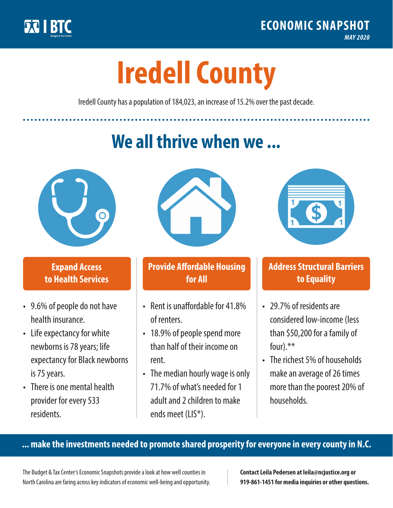

**1**

# **Iredell County**

Iredell County has a population of 184,023, an increase of 15.2% over the past decade.

# **We all thrive when we ...**



**\$ <sup>1</sup>**

**\$ <sup>1</sup>**

### **Expand Access to Health Services**

- 9.6% of people do not have health insurance.
- Life expectancy for white newborns is 78years; life expectancy for Black newborns is 75 years.
- There is one mental health provider for every 533 residents.



## **Provide Affordable Housing for All**

- Rent is unaffordable for 41 8% of renters.
- 18.9% of people spend more than half of their income on rent.
- The median hourly wage is only 71.7% of what's needed for 1 adult and 2 children to make ends meet (LIS\*).



### **Address Structural Barriers to Equality**

- 29.7% of residents are considered low-income (less than \$50,200 for a family of four).\*\*
- The richest 5% of households make an average of 26 times more than the poorest 20% of households.

#### **... make the investments needed to promote shared prosperity for everyone in every county in N.C.**

The Budget & Tax Center's Economic Snapshots provide a look at how well counties in North Carolina are faring across key indicators of economic well-being and opportunity.